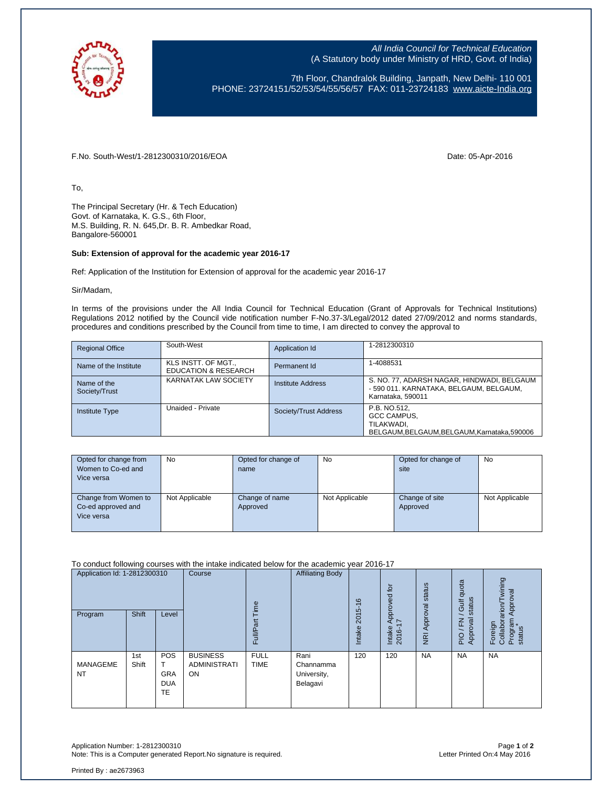

All India Council for Technical Education (A Statutory body under Ministry of HRD, Govt. of India)

7th Floor, Chandralok Building, Janpath, New Delhi- 110 001 PHONE: 23724151/52/53/54/55/56/57 FAX: 011-23724183 [www.aicte-India.org](http://www.aicte-india.org/)

F.No. South-West/1-2812300310/2016/EOA Date: 05-Apr-2016

To,

The Principal Secretary (Hr. & Tech Education) Govt. of Karnataka, K. G.S., 6th Floor, M.S. Building, R. N. 645,Dr. B. R. Ambedkar Road, Bangalore-560001

## **Sub: Extension of approval for the academic year 2016-17**

Ref: Application of the Institution for Extension of approval for the academic year 2016-17

Sir/Madam,

In terms of the provisions under the All India Council for Technical Education (Grant of Approvals for Technical Institutions) Regulations 2012 notified by the Council vide notification number F-No.37-3/Legal/2012 dated 27/09/2012 and norms standards, procedures and conditions prescribed by the Council from time to time, I am directed to convey the approval to

| <b>Regional Office</b>       | South-West                                             | Application Id        | 1-2812300310                                                                                               |
|------------------------------|--------------------------------------------------------|-----------------------|------------------------------------------------------------------------------------------------------------|
| Name of the Institute        | KLS INSTT. OF MGT.,<br><b>EDUCATION &amp; RESEARCH</b> | Permanent Id          | 1-4088531                                                                                                  |
| Name of the<br>Society/Trust | KARNATAK LAW SOCIETY                                   | Institute Address     | S. NO. 77, ADARSH NAGAR, HINDWADI, BELGAUM<br>- 590 011. KARNATAKA, BELGAUM, BELGAUM,<br>Karnataka, 590011 |
| <b>Institute Type</b>        | Unaided - Private                                      | Society/Trust Address | P.B. NO.512.<br>GCC CAMPUS.<br>TILAKWADI.<br>BELGAUM, BELGAUM, BELGAUM, Karnataka, 590006                  |

| Opted for change from<br>Women to Co-ed and<br>Vice versa | No             | Opted for change of<br>name | No             | Opted for change of<br>site | No             |
|-----------------------------------------------------------|----------------|-----------------------------|----------------|-----------------------------|----------------|
| Change from Women to<br>Co-ed approved and<br>Vice versa  | Not Applicable | Change of name<br>Approved  | Not Applicable | Change of site<br>Approved  | Not Applicable |

To conduct following courses with the intake indicated below for the academic year 2016-17

| Application Id: 1-2812300310<br>Program | Shift        | Level                                        | Course                                              | jme<br>ಹ<br>Full           | <b>Affiliating Body</b>                      | $\circ$<br>2015-<br>Intake | $\overline{5}$<br>Approved<br>$\overline{ }$<br>Intake<br>2016- | status<br><b>NRI Approval</b> | quota<br>status<br><b>Jic</b><br>Approval<br>준<br>PIO | wining<br>Approval<br>rarion/<br>Program<br>status<br>Foreign<br>Collabor |
|-----------------------------------------|--------------|----------------------------------------------|-----------------------------------------------------|----------------------------|----------------------------------------------|----------------------------|-----------------------------------------------------------------|-------------------------------|-------------------------------------------------------|---------------------------------------------------------------------------|
| MANAGEME<br><b>NT</b>                   | 1st<br>Shift | POS<br><b>GRA</b><br><b>DUA</b><br><b>TE</b> | <b>BUSINESS</b><br><b>ADMINISTRATI</b><br><b>ON</b> | <b>FULL</b><br><b>TIME</b> | Rani<br>Channamma<br>University,<br>Belagavi | 120                        | 120                                                             | <b>NA</b>                     | <b>NA</b>                                             | <b>NA</b>                                                                 |

Application Number: 1-2812300310 Page **1** of **2** Note: This is a Computer generated Report.No signature is required.

Printed By : ae2673963